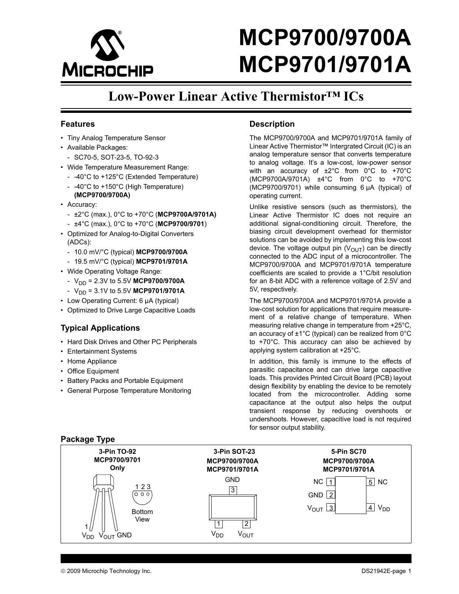

## **Low-Power Linear Active Thermistor™ ICs**

#### **Features**

- Tiny Analog Temperature Sensor
- Available Packages:
- SC70-5, SOT-23-5, TO-92-3
- Wide Temperature Measurement Range:
	- -40°C to +125°C (Extended Temperature)
	- -40°C to +150°C (High Temperature) **(MCP9700/9700A)**
- Accuracy:
	- ±2°C (max.), 0°C to +70°C (**MCP9700A/9701A)**
	- ±4°C (max.), 0°C to +70°C (**MCP9700/9701**)
- Optimized for Analog-to-Digital Converters (ADCs):
	- 10.0 mV/°C (typical) **MCP9700/9700A**
	- 19.5 mV/°C (typical) **MCP9701/9701A**
- Wide Operating Voltage Range:
	- $-V_{DD} = 2.3V$  to 5.5V **MCP9700/9700A**
- $-V_{DD} = 3.1V$  to 5.5V **MCP9701/9701A**
- Low Operating Current: 6 µA (typical)
- Optimized to Drive Large Capacitive Loads

### **Typical Applications**

- Hard Disk Drives and Other PC Peripherals
- Entertainment Systems
- Home Appliance
- Office Equipment
- Battery Packs and Portable Equipment
- General Purpose Temperature Monitoring

#### **Description**

The MCP9700/9700A and MCP9701/9701A family of Linear Active Thermistor™ Intergrated Circuit (IC) is an analog temperature sensor that converts temperature to analog voltage. It's a low-cost, low-power sensor with an accuracy of ±2°C from 0°C to +70°C (MCP9700A/9701A) ±4°C from 0°C to +70°C (MCP9700/9701) while consuming 6 µA (typical) of operating current.

Unlike resistive sensors (such as thermistors), the Linear Active Thermistor IC does not require an additional signal-conditioning circuit. Therefore, the biasing circuit development overhead for thermistor solutions can be avoided by implementing this low-cost device. The voltage output pin  $(V_{\text{OUT}})$  can be directly connected to the ADC input of a microcontroller. The MCP9700/9700A and MCP9701/9701A temperature coefficients are scaled to provide a 1°C/bit resolution for an 8-bit ADC with a reference voltage of 2.5V and 5V, respectively.

The MCP9700/9700A and MCP9701/9701A provide a low-cost solution for applications that require measurement of a relative change of temperature. When measuring relative change in temperature from +25°C, an accuracy of ±1°C (typical) can be realized from 0°C to +70°C. This accuracy can also be achieved by applying system calibration at +25°C.

In addition, this family is immune to the effects of parasitic capacitance and can drive large capacitive loads. This provides Printed Circuit Board (PCB) layout design flexibility by enabling the device to be remotely located from the microcontroller. Adding some capacitance at the output also helps the output transient response by reducing overshoots or undershoots. However, capacitive load is not required for sensor output stability.

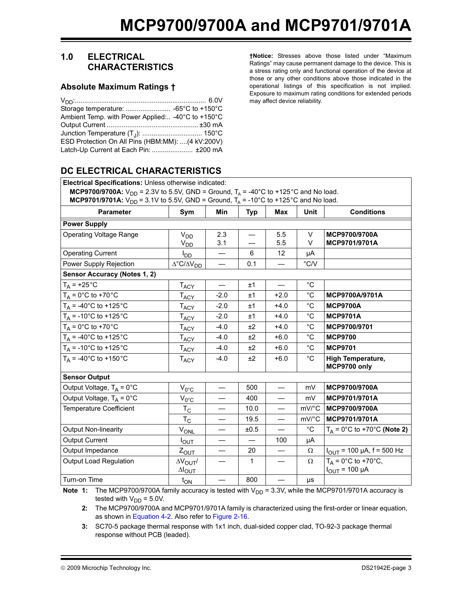## **1.0 ELECTRICAL CHARACTERISTICS**

### **Absolute Maximum Ratings †**

| Ambient Temp. with Power Applied: -40°C to +150°C |  |
|---------------------------------------------------|--|
|                                                   |  |
|                                                   |  |
| ESD Protection On All Pins (HBM:MM): (4 kV:200V)  |  |
| Latch-Up Current at Each Pin:  ±200 mA            |  |

**†Notice:** Stresses above those listed under "Maximum Ratings" may cause permanent damage to the device. This is a stress rating only and functional operation of the device at those or any other conditions above those indicated in the operational listings of this specification is not implied. Exposure to maximum rating conditions for extended periods may affect device reliability.

## **DC ELECTRICAL CHARACTERISTICS**

| <b>Electrical Specifications: Unless otherwise indicated:</b><br><b>MCP9700/9700A:</b> $V_{DD}$ = 2.3V to 5.5V, GND = Ground, $T_a$ = -40°C to +125°C and No load.<br><b>MCP9701/9701A:</b> $V_{DD}$ = 3.1V to 5.5V, GND = Ground, $T_A$ = -10°C to +125°C and No load. |                                       |            |     |            |               |                                |  |  |
|-------------------------------------------------------------------------------------------------------------------------------------------------------------------------------------------------------------------------------------------------------------------------|---------------------------------------|------------|-----|------------|---------------|--------------------------------|--|--|
| Unit<br><b>Conditions</b><br>Min<br>Max<br><b>Parameter</b><br>Sym<br><b>Typ</b>                                                                                                                                                                                        |                                       |            |     |            |               |                                |  |  |
| <b>Power Supply</b>                                                                                                                                                                                                                                                     |                                       |            |     |            |               |                                |  |  |
| Operating Voltage Range                                                                                                                                                                                                                                                 | $V_{DD}$<br>$V_{DD}$                  | 2.3<br>3.1 |     | 5.5<br>5.5 | $\vee$<br>v   | MCP9700/9700A<br>MCP9701/9701A |  |  |
| <b>Operating Current</b>                                                                                                                                                                                                                                                | סםי                                   |            | 6   | 12         | μA            |                                |  |  |
| Power Supply Rejection                                                                                                                                                                                                                                                  | $\Delta$ °C/ $\Delta$ V <sub>DD</sub> |            | 0.1 |            | $\degree$ C/V |                                |  |  |
| Sensor Accuracy (Notes 1, 2)                                                                                                                                                                                                                                            |                                       |            |     |            |               |                                |  |  |

| <b>Sensor Accuracy (Notes 1, 2)</b> |                                              |        |      |        |              |                                              |  |  |
|-------------------------------------|----------------------------------------------|--------|------|--------|--------------|----------------------------------------------|--|--|
| $T_A$ = +25 °C                      | $T_{ACY}$                                    |        | ±1   |        | $^{\circ}$ C |                                              |  |  |
| $T_A = 0^\circ \text{C}$ to +70 °C  | $\mathsf{T}_{\mathsf{ACY}}$                  | $-2.0$ | ±1   | $+2.0$ | $^{\circ}$ C | <b>MCP9700A/9701A</b>                        |  |  |
| $T_A = -40$ °C to +125 °C           | $T_{\rm ACY}$                                | $-2.0$ | ±1   | $+4.0$ | $^{\circ}$ C | <b>MCP9700A</b>                              |  |  |
| $T_A = -10$ °C to +125°C            | $T_{\rm ACY}$                                | $-2.0$ | ±1   | $+4.0$ | $^{\circ}$ C | <b>MCP9701A</b>                              |  |  |
| $T_A = 0^\circ \text{C}$ to +70 °C  | $\mathsf{T}_{\mathsf{ACY}}$                  | $-4.0$ | ±2   | $+4.0$ | °C           | MCP9700/9701                                 |  |  |
| $T_A$ = -40°C to +125°C             | $\mathsf{T}_{\mathsf{ACY}}$                  | $-4.0$ | ±2   | $+6.0$ | °C           | <b>MCP9700</b>                               |  |  |
| $T_A$ = -10°C to +125°C             | $T_{\sf ACY}$                                | $-4.0$ | ±2   | $+6.0$ | $^{\circ}$ C | <b>MCP9701</b>                               |  |  |
| $T_A = -40^{\circ}C$ to +150 °C     | $T_{\rm ACY}$                                | $-4.0$ | ±2   | $+6.0$ | $^{\circ}$ C | <b>High Temperature,</b><br>MCP9700 only     |  |  |
| <b>Sensor Output</b>                |                                              |        |      |        |              |                                              |  |  |
| Output Voltage, $T_A = 0^\circ C$   | $V_{0^{\circ}C}$                             |        | 500  |        | mV           | MCP9700/9700A                                |  |  |
| Output Voltage, $T_A = 0^\circ C$   | $V_{0^{\circ}C}$                             |        | 400  |        | mV           | MCP9701/9701A                                |  |  |
| Temperature Coefficient             | $T_{\rm C}$                                  |        | 10.0 |        |              | mV/°C   MCP9700/9700A                        |  |  |
|                                     | $T_{\rm C}$                                  |        | 19.5 |        | mV/°C        | MCP9701/9701A                                |  |  |
| <b>Output Non-linearity</b>         | $V_{ONL}$                                    |        | ±0.5 |        | $^{\circ}$ C | $T_A$ = 0°C to +70°C (Note 2)                |  |  |
| <b>Output Current</b>               | <b>I</b> OUT                                 |        |      | 100    | μA           |                                              |  |  |
| Output Impedance                    | $Z_{\text{OUT}}$                             |        | 20   |        | Ω            | $I_{OUT}$ = 100 µA, f = 500 Hz               |  |  |
| Output Load Regulation              | $\Delta V_{\text{OUT}}/$<br>$\Delta I_{OUT}$ |        | 1    |        | $\Omega$     | $T_A = 0$ °C to +70°C,<br>$I_{OUT}$ = 100 µA |  |  |
| Turn-on Time                        | $t_{ON}$                                     |        | 800  |        | μs           |                                              |  |  |

<span id="page-2-1"></span><span id="page-2-0"></span>**Note 1:** The MCP9700/9700A family accuracy is tested with  $V_{DD} = 3.3V$ , while the MCP9701/9701A accuracy is tested with  $V_{DD} = 5.0V$ .

**2:** The MCP9700/9700A and MCP9701/9701A family is characterized using the first-order or linear equation, as shown in [Equation 4-2](#page-11-0). Also refer to [Figure 2-16](#page-6-0).

<span id="page-2-2"></span>**3:** SC70-5 package thermal response with 1x1 inch, dual-sided copper clad, TO-92-3 package thermal response without PCB (leaded).

© 2009 Microchip Technology Inc. DS21942E-page 3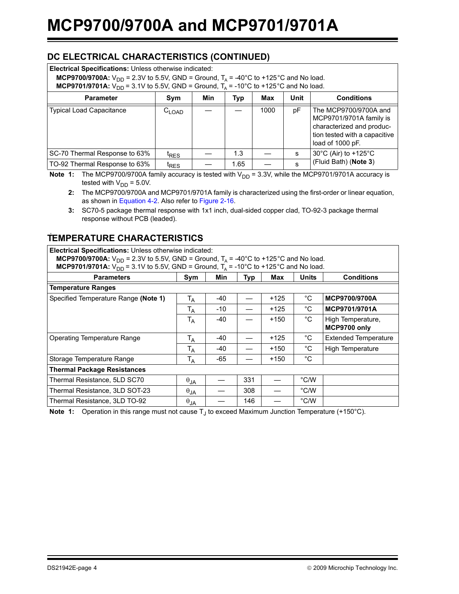## **DC ELECTRICAL CHARACTERISTICS (CONTINUED)**

| Electrical Specifications: Unless otherwise indicated:<br><b>MCP9700/9700A:</b> $V_{DD}$ = 2.3V to 5.5V, GND = Ground, $T_A$ = -40°C to +125°C and No load.<br><b>MCP9701/9701A:</b> $V_{DD}$ = 3.1V to 5.5V, GND = Ground, $T_A$ = -10°C to +125°C and No load. |                  |  |      |      |    |                                                                                                                                    |  |  |  |
|------------------------------------------------------------------------------------------------------------------------------------------------------------------------------------------------------------------------------------------------------------------|------------------|--|------|------|----|------------------------------------------------------------------------------------------------------------------------------------|--|--|--|
| Unit<br><b>Conditions</b><br>Max<br><b>Parameter</b><br>Min<br>Sym<br>Typ                                                                                                                                                                                        |                  |  |      |      |    |                                                                                                                                    |  |  |  |
| <b>Typical Load Capacitance</b>                                                                                                                                                                                                                                  | $C_{LOAD}$       |  |      | 1000 | рF | The MCP9700/9700A and<br>MCP9701/9701A family is<br>characterized and produc-<br>tion tested with a capacitive<br>load of 1000 pF. |  |  |  |
| SC-70 Thermal Response to 63%                                                                                                                                                                                                                                    | t <sub>RES</sub> |  | 1.3  |      | s  | $30^{\circ}$ C (Air) to +125 $^{\circ}$ C                                                                                          |  |  |  |
| TO-92 Thermal Response to 63%                                                                                                                                                                                                                                    | <sup>t</sup> RES |  | 1.65 |      | s  | (Fluid Bath) (Note 3)                                                                                                              |  |  |  |

**Note 1:** The MCP9700/9700A family accuracy is tested with  $V_{DD} = 3.3V$ , while the MCP9701/9701A accuracy is tested with  $V_{DD} = 5.0V$ .

**2:** The MCP9700/9700A and MCP9701/9701A family is characterized using the first-order or linear equation, as shown in Equation 4-2. Also refer to Figure 2-16.

**3:** SC70-5 package thermal response with 1x1 inch, dual-sided copper clad, TO-92-3 package thermal response without PCB (leaded).

## **TEMPERATURE CHARACTERISTICS**

| Electrical Specifications: Unless otherwise indicated:<br><b>MCP9700/9700A:</b> $V_{DD}$ = 2.3V to 5.5V, GND = Ground, $T_a$ = -40°C to +125°C and No load.<br><b>MCP9701/9701A:</b> $V_{DD} = 3.1V$ to 5.5V, GND = Ground, $T_A = -10^{\circ}C$ to +125°C and No load. |               |       |     |        |      |                                   |  |  |  |
|-------------------------------------------------------------------------------------------------------------------------------------------------------------------------------------------------------------------------------------------------------------------------|---------------|-------|-----|--------|------|-----------------------------------|--|--|--|
| Sym<br>Min<br><b>Parameters</b><br>Max<br>Units<br><b>Conditions</b><br>Typ                                                                                                                                                                                             |               |       |     |        |      |                                   |  |  |  |
| <b>Temperature Ranges</b>                                                                                                                                                                                                                                               |               |       |     |        |      |                                   |  |  |  |
| Specified Temperature Range (Note 1)                                                                                                                                                                                                                                    | $T_A$         | -40   |     | $+125$ | °C   | <b>MCP9700/9700A</b>              |  |  |  |
|                                                                                                                                                                                                                                                                         | $T_A$         | $-10$ |     | +125   | °C   | MCP9701/9701A                     |  |  |  |
|                                                                                                                                                                                                                                                                         | $T_A$         | -40   |     | $+150$ | °C   | High Temperature,<br>MCP9700 only |  |  |  |
| <b>Operating Temperature Range</b>                                                                                                                                                                                                                                      | $T_A$         | -40   |     | +125   | °C   | <b>Extended Temperature</b>       |  |  |  |
|                                                                                                                                                                                                                                                                         | $T_A$         | -40   |     | +150   | °C   | High Temperature                  |  |  |  |
| Storage Temperature Range                                                                                                                                                                                                                                               | $T_A$         | -65   |     | +150   | °C   |                                   |  |  |  |
| <b>Thermal Package Resistances</b>                                                                                                                                                                                                                                      |               |       |     |        |      |                                   |  |  |  |
| Thermal Resistance, 5LD SC70                                                                                                                                                                                                                                            | $\theta_{JA}$ |       | 331 |        | °C/W |                                   |  |  |  |
| Thermal Resistance, 3LD SOT-23                                                                                                                                                                                                                                          | $\theta_{JA}$ |       | 308 |        | °C/W |                                   |  |  |  |
| Thermal Resistance, 3LD TO-92                                                                                                                                                                                                                                           | $\theta_{JA}$ |       | 146 |        | °C/W |                                   |  |  |  |

<span id="page-3-0"></span>**Note 1:** Operation in this range must not cause T<sub>J</sub> to exceed Maximum Junction Temperature (+150°C).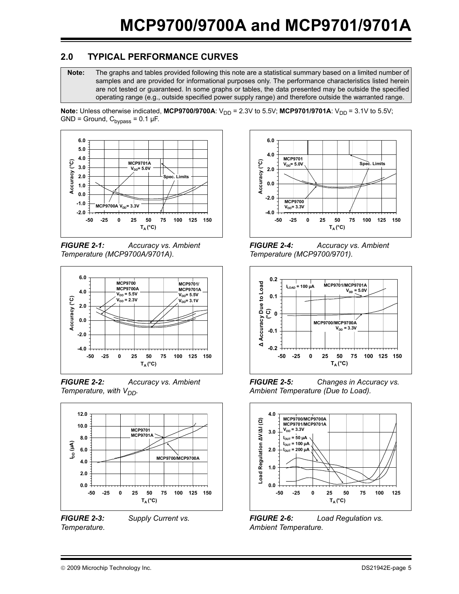## **2.0 TYPICAL PERFORMANCE CURVES**

**Note:** The graphs and tables provided following this note are a statistical summary based on a limited number of samples and are provided for informational purposes only. The performance characteristics listed herein are not tested or guaranteed. In some graphs or tables, the data presented may be outside the specified operating range (e.g., outside specified power supply range) and therefore outside the warranted range.

**Note:** Unless otherwise indicated, MCP9700/9700A:  $V_{DD} = 2.3V$  to 5.5V; MCP9701/9701A:  $V_{DD} = 3.1V$  to 5.5V;  $GND =$  Ground,  $C_{\text{bvpass}} = 0.1 \mu F$ .



*FIGURE 2-1: Accuracy vs. Ambient Temperature (MCP9700A/9701A).*



*FIGURE 2-2: Accuracy vs. Ambient Temperature, with V<sub>DD</sub>.* 



*FIGURE 2-3: Supply Current vs. Temperature.*



*FIGURE 2-4: Accuracy vs. Ambient Temperature (MCP9700/9701).*



*FIGURE 2-5: Changes in Accuracy vs. Ambient Temperature (Due to Load).*



*FIGURE 2-6: Load Regulation vs. Ambient Temperature.*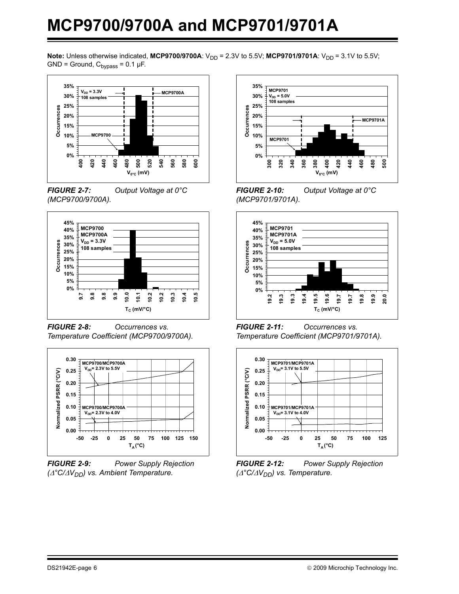**Note:** Unless otherwise indicated, **MCP9700/9700A**: V<sub>DD</sub> = 2.3V to 5.5V; **MCP9701/9701A**: V<sub>DD</sub> = 3.1V to 5.5V; GND = Ground,  $C_{\text{bypass}}$  = 0.1 µF.







*FIGURE 2-8: Occurrences vs. Temperature Coefficient (MCP9700/9700A).*



*FIGURE 2-9: Power Supply Rejection (*Δ°C/*ΔV<sub>DD</sub>)* vs. Ambient Temperature.



*FIGURE 2-10: Output Voltage at 0°C (MCP9701/9701A).*



*FIGURE 2-11: Occurrences vs. Temperature Coefficient (MCP9701/9701A).*



*FIGURE 2-12: Power Supply Rejection (*Δ°C/ΔV<sub>DD</sub>) vs. Temperature.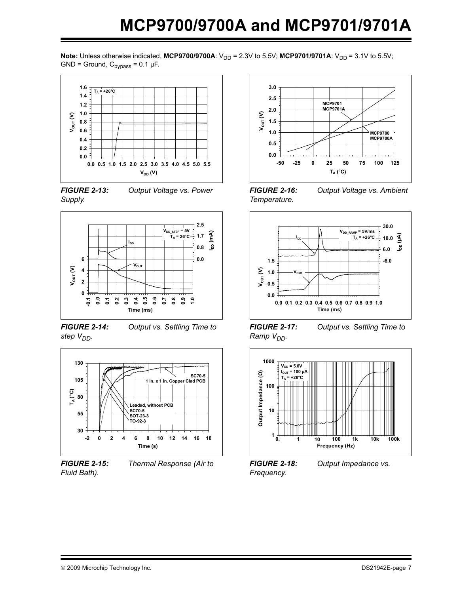**Note:** Unless otherwise indicated, **MCP9700/9700A**:  $V_{DD} = 2.3V$  to 5.5V; **MCP9701/9701A**:  $V_{DD} = 3.1V$  to 5.5V;  $GND =$  Ground,  $C_{bypass} = 0.1 \mu F$ .







*FIGURE 2-14: Output vs. Settling Time to*  step V<sub>DD</sub>.



*FIGURE 2-15: Thermal Response (Air to Fluid Bath).*



<span id="page-6-0"></span>*FIGURE 2-16: Output Voltage vs. Ambient Temperature.*



*FIGURE 2-17: Output vs. Settling Time to*  Ramp V<sub>DD</sub>.



*Frequency.*

*FIGURE 2-18: Output Impedance vs.*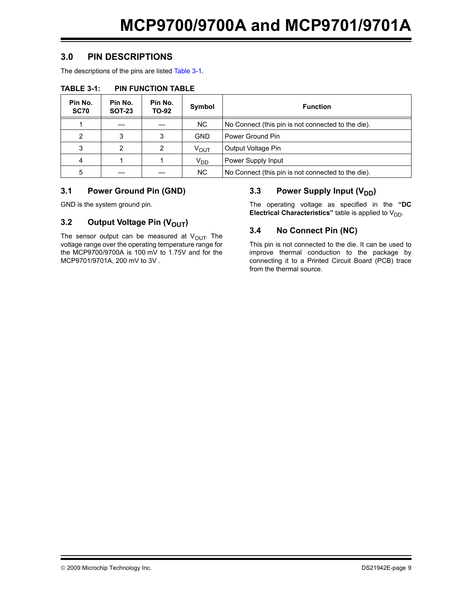## **3.0 PIN DESCRIPTIONS**

The descriptions of the pins are listed [Table 3-1](#page-8-0).

<span id="page-8-0"></span>

| <b>TABLE 3-1:</b> | <b>PIN FUNCTION TABLE</b> |  |
|-------------------|---------------------------|--|
|-------------------|---------------------------|--|

| Pin No.<br><b>SC70</b> | Pin No.<br><b>SOT-23</b> | Pin No.<br>TO-92 | Symbol           | <b>Function</b>                                    |
|------------------------|--------------------------|------------------|------------------|----------------------------------------------------|
|                        |                          |                  | NC.              | No Connect (this pin is not connected to the die). |
| 2                      | 3                        | 3                | <b>GND</b>       | Power Ground Pin                                   |
| 3                      | 2                        |                  | V <sub>OUT</sub> | Output Voltage Pin                                 |
| 4                      |                          |                  | $V_{DD}$         | Power Supply Input                                 |
| 5                      |                          |                  | NC.              | No Connect (this pin is not connected to the die). |

### **3.1 Power Ground Pin (GND)**

GND is the system ground pin.

## **3.2** Output Voltage Pin (V<sub>OUT</sub>)

The sensor output can be measured at  $V_{\text{OUT}}$ . The voltage range over the operating temperature range for the MCP9700/9700A is 100 mV to 1.75V and for the MCP9701/9701A, 200 mV to 3V .

## **3.3** Power Supply Input (V<sub>DD</sub>)

The operating voltage as specified in the **"DC Electrical Characteristics"** table is applied to V<sub>DD</sub>.

## **3.4 No Connect Pin (NC)**

This pin is not connected to the die. It can be used to improve thermal conduction to the package by connecting it to a Printed Circuit Board (PCB) trace from the thermal source.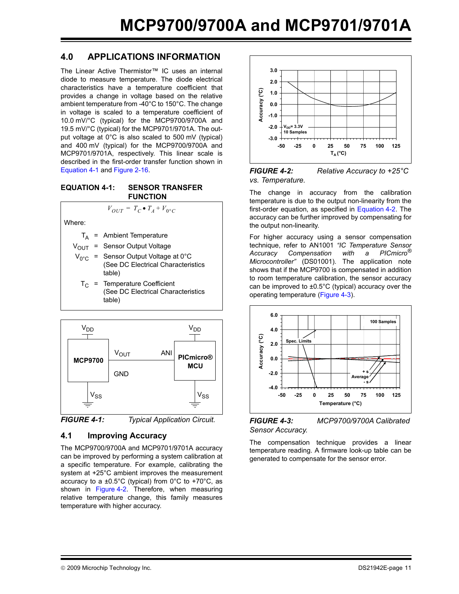## **4.0 APPLICATIONS INFORMATION**

The Linear Active Thermistor™ IC uses an internal diode to measure temperature. The diode electrical characteristics have a temperature coefficient that provides a change in voltage based on the relative ambient temperature from -40°C to 150°C. The change in voltage is scaled to a temperature coefficient of 10.0 mV/°C (typical) for the MCP9700/9700A and 19.5 mV/°C (typical) for the MCP9701/9701A. The output voltage at 0°C is also scaled to 500 mV (typical) and 400 mV (typical) for the MCP9700/9700A and MCP9701/9701A, respectively. This linear scale is described in the first-order transfer function shown in [Equation 4-1](#page-10-0) and [Figure 2-16.](#page-6-0)

<span id="page-10-0"></span>





*FIGURE 4-1: Typical Application Circuit.*

### **4.1 Improving Accuracy**

The MCP9700/9700A and MCP9701/9701A accuracy can be improved by performing a system calibration at a specific temperature. For example, calibrating the system at +25°C ambient improves the measurement accuracy to a  $\pm 0.5^{\circ}$ C (typical) from 0 $^{\circ}$ C to +70 $^{\circ}$ C, as shown in [Figure 4-2.](#page-10-1) Therefore, when measuring relative temperature change, this family measures temperature with higher accuracy.



<span id="page-10-1"></span>*FIGURE 4-2: Relative Accuracy to +25°C vs. Temperature.*

The change in accuracy from the calibration temperature is due to the output non-linearity from the first-order equation, as specified in [Equation 4-2.](#page-11-0) The accuracy can be further improved by compensating for the output non-linearity.

For higher accuracy using a sensor compensation technique, refer to AN1001 *"IC Temperature Sensor Accuracy Compensation with a PICmicro® Microcontroller"* (DS01001). The application note shows that if the MCP9700 is compensated in addition to room temperature calibration, the sensor accuracy can be improved to ±0.5°C (typical) accuracy over the operating temperature [\(Figure 4-3](#page-10-2)).



<span id="page-10-2"></span>*FIGURE 4-3: MCP9700/9700A Calibrated Sensor Accuracy.*

The compensation technique provides a linear temperature reading. A firmware look-up table can be generated to compensate for the sensor error.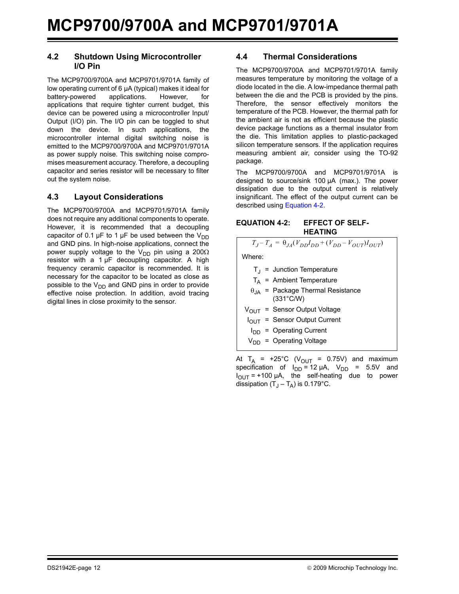#### **4.2 Shutdown Using Microcontroller I/O Pin**

The MCP9700/9700A and MCP9701/9701A family of low operating current of 6 µA (typical) makes it ideal for battery-powered applications. However, for applications that require tighter current budget, this device can be powered using a microcontroller Input/ Output (I/O) pin. The I/O pin can be toggled to shut down the device. In such applications, the microcontroller internal digital switching noise is emitted to the MCP9700/9700A and MCP9701/9701A as power supply noise. This switching noise compromises measurement accuracy. Therefore, a decoupling capacitor and series resistor will be necessary to filter out the system noise.

### **4.3 Layout Considerations**

The MCP9700/9700A and MCP9701/9701A family does not require any additional components to operate. However, it is recommended that a decoupling capacitor of 0.1  $\mu$ F to 1  $\mu$ F be used between the V<sub>DD</sub> and GND pins. In high-noise applications, connect the power supply voltage to the V<sub>DD</sub> pin using a 200 $\Omega$ resistor with a 1 µF decoupling capacitor. A high frequency ceramic capacitor is recommended. It is necessary for the capacitor to be located as close as possible to the  $V_{DD}$  and GND pins in order to provide effective noise protection. In addition, avoid tracing digital lines in close proximity to the sensor.

## **4.4 Thermal Considerations**

The MCP9700/9700A and MCP9701/9701A family measures temperature by monitoring the voltage of a diode located in the die. A low-impedance thermal path between the die and the PCB is provided by the pins. Therefore, the sensor effectively monitors the temperature of the PCB. However, the thermal path for the ambient air is not as efficient because the plastic device package functions as a thermal insulator from the die. This limitation applies to plastic-packaged silicon temperature sensors. If the application requires measuring ambient air, consider using the TO-92 package.

The MCP9700/9700A and MCP9701/9701A is designed to source/sink 100 µA (max.). The power dissipation due to the output current is relatively insignificant. The effect of the output current can be described using [Equation 4-2](#page-11-0).

#### <span id="page-11-0"></span>**EQUATION 4-2: EFFECT OF SELF-HEATING**

| $T_I - T_A = \theta_{IA} (V_{DD} I_{DD} + (V_{DD} - V_{OUT}) I_{OUT})$ |
|------------------------------------------------------------------------|
| Where:                                                                 |
| $T_{\perp}$ = Junction Temperature                                     |
| $T_A$ = Ambient Temperature                                            |
| $\theta_{JA}$ = Package Thermal Resistance<br>$(331^{\circ}$ C/W)      |
| $V_{\text{OUT}}$ = Sensor Output Voltage                               |
| $I_{\text{OUT}}$ = Sensor Output Current                               |
| $I_{DD}$ = Operating Current                                           |
| $V_{DD}$ = Operating Voltage                                           |
|                                                                        |

At  $T_A$  = +25°C (V<sub>OUT</sub> = 0.75V) and maximum specification of  $I_{DD} = 12 \mu A$ ,  $V_{DD} = 5.5V$  and  $I<sub>OUT</sub> = +100 \mu A$ , the self-heating due to power dissipation  $(T_J - T_A)$  is 0.179°C.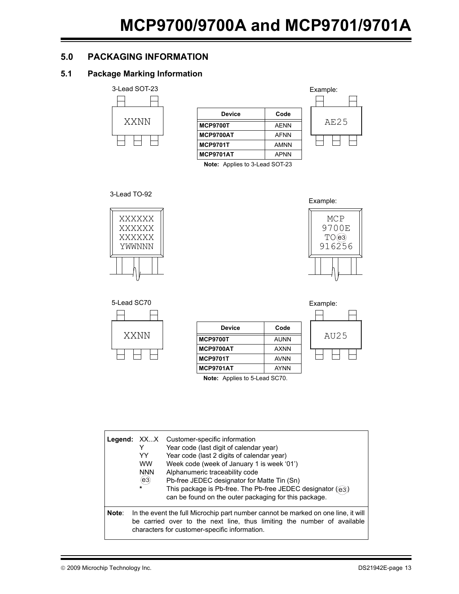## **5.0 PACKAGING INFORMATION**

## **5.1 Package Marking Information**



| 3-Lead SOT-23                            |                                |             | Example:                   |
|------------------------------------------|--------------------------------|-------------|----------------------------|
|                                          |                                |             |                            |
|                                          | <b>Device</b>                  | Code        |                            |
| XXNN                                     | <b>MCP9700T</b>                | <b>AENN</b> | AE25                       |
|                                          | MCP9700AT                      | <b>AFNN</b> |                            |
|                                          | <b>MCP9701T</b>                | <b>AMNN</b> |                            |
|                                          | <b>MCP9701AT</b>               | <b>APNN</b> |                            |
|                                          | Note: Applies to 3-Lead SOT-23 |             |                            |
|                                          |                                |             |                            |
|                                          |                                |             |                            |
| 3-Lead TO-92                             |                                |             | Example:                   |
| <b>XXXXXX</b><br><b>XXXXXX</b><br>XXXXXX |                                |             | MCP<br>9700<br>$T$ $O$ (e3 |







3-Lead TO-92







| <b>Device</b>    | Code        |
|------------------|-------------|
| <b>MCP9700T</b>  | AUNN        |
| MCP9700AT        | AXNN        |
| <b>MCP9701T</b>  | <b>AVNN</b> |
| <b>MCP9701AT</b> | AYNN        |

**Note:** Applies to 5-Lead SC70.

|       | YY<br><b>WW</b><br><b>NNN</b><br>$\rm(e3)$<br>$\star$ | <b>Legend:</b> XXX Customer-specific information<br>Year code (last digit of calendar year)<br>Year code (last 2 digits of calendar year)<br>Week code (week of January 1 is week '01')<br>Alphanumeric traceability code<br>Pb-free JEDEC designator for Matte Tin (Sn)<br>This package is Pb-free. The Pb-free JEDEC designator ((e3))<br>can be found on the outer packaging for this package. |
|-------|-------------------------------------------------------|---------------------------------------------------------------------------------------------------------------------------------------------------------------------------------------------------------------------------------------------------------------------------------------------------------------------------------------------------------------------------------------------------|
| Note: |                                                       | In the event the full Microchip part number cannot be marked on one line, it will<br>be carried over to the next line, thus limiting the number of available<br>characters for customer-specific information.                                                                                                                                                                                     |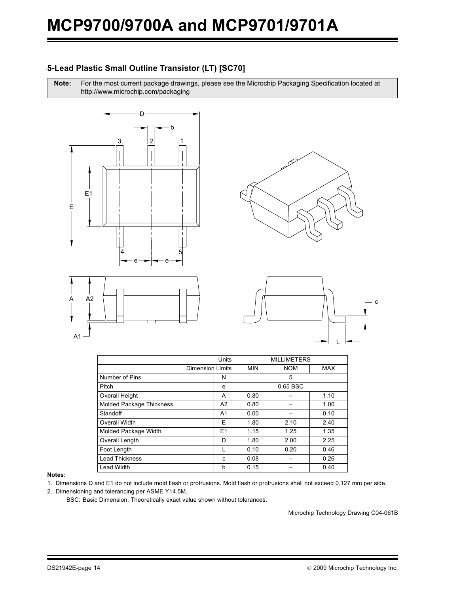## 5-Lead Plastic Small Outline Transistor (LT) [SC70]

Note: For the most current package drawings, please see the Microchip Packaging Specification located at http://www.microchip.com/packaging









|                                 | Units                   | <b>MILLIMETERS</b> |            |            |
|---------------------------------|-------------------------|--------------------|------------|------------|
|                                 | <b>Dimension Limits</b> | <b>MIN</b>         | <b>NOM</b> | <b>MAX</b> |
| Number of Pins                  | N                       |                    | 5          |            |
| Pitch                           | e                       |                    | 0.65 BSC   |            |
| <b>Overall Height</b>           | A                       | 0.80               |            | 1.10       |
| <b>Molded Package Thickness</b> | A <sub>2</sub>          | 0.80               |            | 1.00       |
| Standoff                        | A <sub>1</sub>          | 0.00               |            | 0.10       |
| Overall Width                   | Е                       | 1.80               | 2.10       | 2.40       |
| Molded Package Width            | E <sub>1</sub>          | 1.15               | 1.25       | 1.35       |
| Overall Length                  | D                       | 1.80               | 2.00       | 2.25       |
| Foot Length                     |                         | 0.10               | 0.20       | 0.46       |
| <b>Lead Thickness</b>           | C                       | 0.08               |            | 0.26       |
| <b>Lead Width</b>               | b                       | 0.15               |            | 0.40       |

#### Notes:

1. Dimensions D and E1 do not include mold flash or protrusions. Mold flash or protrusions shall not exceed 0.127 mm per side.

2. Dimensioning and tolerancing per ASME Y14.5M.

BSC: Basic Dimension. Theoretically exact value shown without tolerances.

Microchip Technology Drawing C04-061B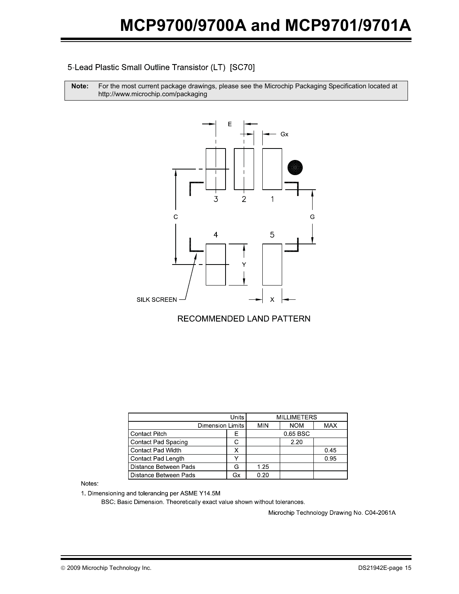## 5-Lead Plastic Small Outline Transistor (LT) [SC70]

Note: For the most current package drawings, please see the Microchip Packaging Specification located at http://www.microchip.com/packaging



## **RECOMMENDED LAND PATTERN**

| Units                      |    | <b>MILLIMETERS</b> |            |            |
|----------------------------|----|--------------------|------------|------------|
| <b>Dimension Limits</b>    |    | <b>MIN</b>         | <b>NOM</b> | <b>MAX</b> |
| <b>Contact Pitch</b>       | F  | 0.65 BSC           |            |            |
| <b>Contact Pad Spacing</b> | C  |                    | 2.20       |            |
| Contact Pad Width          |    |                    |            | 0.45       |
| Contact Pad Length         |    |                    |            | 0.95       |
| Distance Between Pads      | G  | 1.25               |            |            |
| Distance Between Pads      | Gx | 0.20               |            |            |

Notes:

1. Dimensioning and tolerancing per ASME Y14.5M

BSC: Basic Dimension. Theoretically exact value shown without tolerances.

Microchip Technology Drawing No. C04-2061A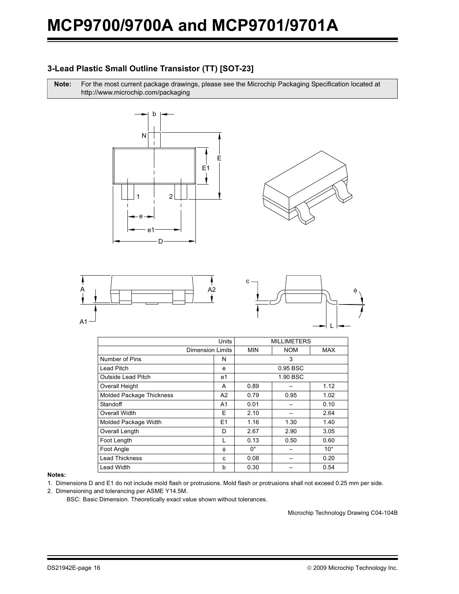## 3-Lead Plastic Small Outline Transistor (TT) [SOT-23]

Note: For the most current package drawings, please see the Microchip Packaging Specification located at http://www.microchip.com/packaging









| Units                           |                | <b>MILLIMETERS</b> |            |              |
|---------------------------------|----------------|--------------------|------------|--------------|
| Dimension Limits                |                | <b>MIN</b>         | <b>NOM</b> | <b>MAX</b>   |
| Number of Pins                  | N              | 3                  |            |              |
| Lead Pitch                      | е              | 0.95 BSC           |            |              |
| Outside Lead Pitch              | e1             | 1.90 BSC           |            |              |
| <b>Overall Height</b>           | A              | 0.89               |            | 1.12         |
| <b>Molded Package Thickness</b> | A2             | 0.79               | 0.95       | 1.02         |
| Standoff                        | A1             | 0.01               |            | 0.10         |
| Overall Width                   | F              | 2.10               |            | 2.64         |
| Molded Package Width            | E <sub>1</sub> | 1.16               | 1.30       | 1.40         |
| Overall Length                  | D              | 2.67               | 2.90       | 3.05         |
| Foot Length                     |                | 0.13               | 0.50       | 0.60         |
| Foot Angle                      | φ              | $0^{\circ}$        |            | $10^{\circ}$ |
| <b>Lead Thickness</b>           | C              | 0.08               |            | 0.20         |
| <b>Lead Width</b>               | b              | 0.30               |            | 0.54         |

#### Notes:

- 1. Dimensions D and E1 do not include mold flash or protrusions. Mold flash or protrusions shall not exceed 0.25 mm per side.
- 2. Dimensioning and tolerancing per ASME Y14.5M.

BSC: Basic Dimension. Theoretically exact value shown without tolerances.

Microchip Technology Drawing C04-104B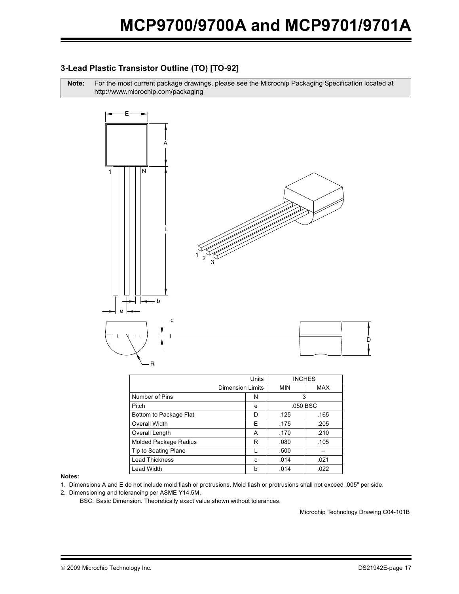## 3-Lead Plastic Transistor Outline (TO) [TO-92]

Note: For the most current package drawings, please see the Microchip Packaging Specification located at http://www.microchip.com/packaging



| Units                   |   | <b>INCHES</b> |            |
|-------------------------|---|---------------|------------|
| <b>Dimension Limits</b> |   | <b>MIN</b>    | <b>MAX</b> |
| Number of Pins          | N | 3             |            |
| Pitch                   | e | .050 BSC      |            |
| Bottom to Package Flat  | D | .125          | .165       |
| Overall Width           | Ε | .175          | .205       |
| Overall Length          | A | .170          | .210       |
| Molded Package Radius   | R | .080          | .105       |
| Tip to Seating Plane    |   | .500          |            |
| <b>Lead Thickness</b>   | C | .014          | .021       |
| <b>Lead Width</b>       | b | .014          | .022       |

#### Notes:

1. Dimensions A and E do not include mold flash or protrusions. Mold flash or protrusions shall not exceed .005" per side.

2. Dimensioning and tolerancing per ASME Y14.5M.

BSC: Basic Dimension. Theoretically exact value shown without tolerances.

Microchip Technology Drawing C04-101B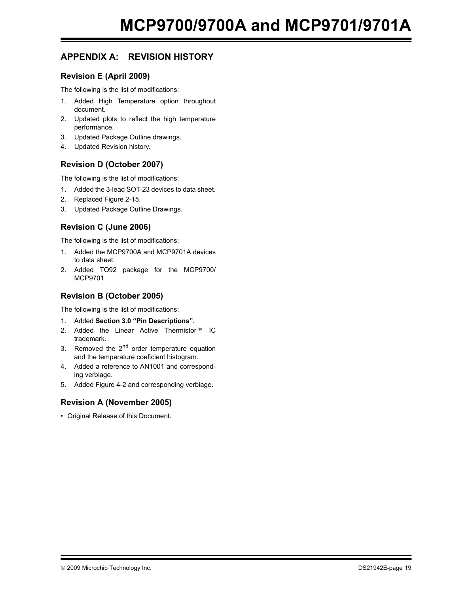## **APPENDIX A: REVISION HISTORY**

## **Revision E (April 2009)**

The following is the list of modifications:

- 1. Added High Temperature option throughout document.
- 2. Updated plots to reflect the high temperature performance.
- 3. Updated Package Outline drawings.
- 4. Updated Revision history.

## **Revision D (October 2007)**

The following is the list of modifications:

- 1. Added the 3-lead SOT-23 devices to data sheet.
- 2. Replaced Figure 2-15.
- 3. Updated Package Outline Drawings.

## **Revision C (June 2006)**

The following is the list of modifications:

- 1. Added the MCP9700A and MCP9701A devices to data sheet.
- 2. Added TO92 package for the MCP9700/ MCP9701.

## **Revision B (October 2005)**

The following is the list of modifications:

- 1. Added **Section 3.0 "Pin Descriptions".**
- 2. Added the Linear Active Thermistor™ IC trademark.
- 3. Removed the  $2<sup>nd</sup>$  order temperature equation and the temperature coeficient histogram.
- 4. Added a reference to AN1001 and corresponding verbiage.
- 5. Added Figure 4-2 and corresponding verbiage.

### **Revision A (November 2005)**

• Original Release of this Document.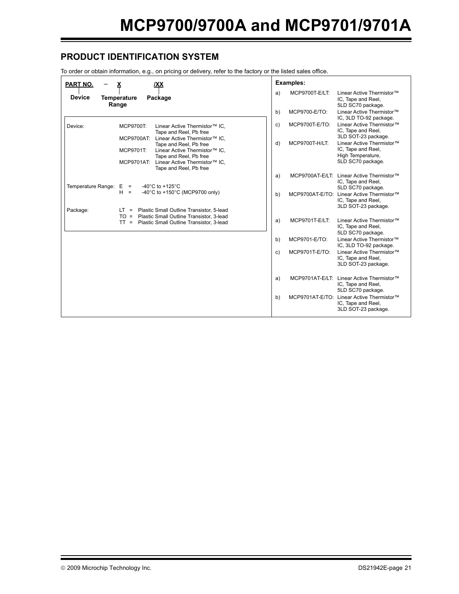## **PRODUCT IDENTIFICATION SYSTEM**

To order or obtain information, e.g., on pricing or delivery, refer to the factory or the listed sales office.

| PART NO.<br>/XX                                                                                                                                                                | <b>Examples:</b>                                                                                                  |  |  |
|--------------------------------------------------------------------------------------------------------------------------------------------------------------------------------|-------------------------------------------------------------------------------------------------------------------|--|--|
| <b>Device</b><br>Temperature<br>Package<br>Range                                                                                                                               | MCP9700T-E/LT:<br>Linear Active Thermistor™<br>a)<br>IC, Tape and Reel,<br>5LD SC70 package.                      |  |  |
|                                                                                                                                                                                | Linear Active Thermistor™<br>b)<br>MCP9700-E/TO:<br>IC, 3LD TO-92 package.                                        |  |  |
| Device:<br><b>MCP9700T:</b><br>Linear Active Thermistor™ IC.<br>Tape and Reel, Pb free<br>Linear Active Thermistor™ IC.<br><b>MCP9700AT:</b>                                   | Linear Active Thermistor™<br>MCP9700T-E/TO:<br>C)<br>IC, Tape and Reel,<br>3LD SOT-23 package.                    |  |  |
| Tape and Reel, Pb free<br>MCP9701T:<br>Linear Active Thermistor™ IC.<br>Tape and Reel, Pb free<br><b>MCP9701AT:</b><br>Linear Active Thermistor™ IC,<br>Tape and Reel, Pb free | Linear Active Thermistor™<br>d)<br>MCP9700T-H/LT:<br>IC. Tape and Reel.<br>High Temperature,<br>5LD SC70 package. |  |  |
| Temperature Range:<br>-40 $^{\circ}$ C to +125 $^{\circ}$ C<br>Е<br>$=$                                                                                                        | a)<br>MCP9700AT-E/LT: Linear Active Thermistor™<br>IC, Tape and Reel,<br>5LD SC70 package.                        |  |  |
| $H =$<br>-40°C to +150°C (MCP9700 only)                                                                                                                                        | MCP9700AT-E/TO: Linear Active Thermistor™<br>b)<br>IC, Tape and Reel,<br>3LD SOT-23 package.                      |  |  |
| Package:<br>Plastic Small Outline Transistor, 5-lead<br>$LT =$<br>Plastic Small Outline Transistor, 3-lead<br>$TO =$                                                           |                                                                                                                   |  |  |
| Plastic Small Outline Transistor, 3-lead<br>$TT =$                                                                                                                             | Linear Active Thermistor™<br>a)<br>MCP9701T-E/LT:<br>IC, Tape and Reel,<br>5LD SC70 package.                      |  |  |
|                                                                                                                                                                                | Linear Active Thermistor™<br>b)<br>MCP9701-E/TO:<br>IC, 3LD TO-92 package.                                        |  |  |
|                                                                                                                                                                                | Linear Active Thermistor™<br>MCP9701T-E/TO:<br>c)<br>IC, Tape and Reel,<br>3LD SOT-23 package.                    |  |  |
|                                                                                                                                                                                | MCP9701AT-E/LT: Linear Active Thermistor™<br>a)<br>IC, Tape and Reel,<br>5LD SC70 package.                        |  |  |
|                                                                                                                                                                                | MCP9701AT-E/TO: Linear Active Thermistor™<br>b)<br>IC, Tape and Reel,<br>3LD SOT-23 package.                      |  |  |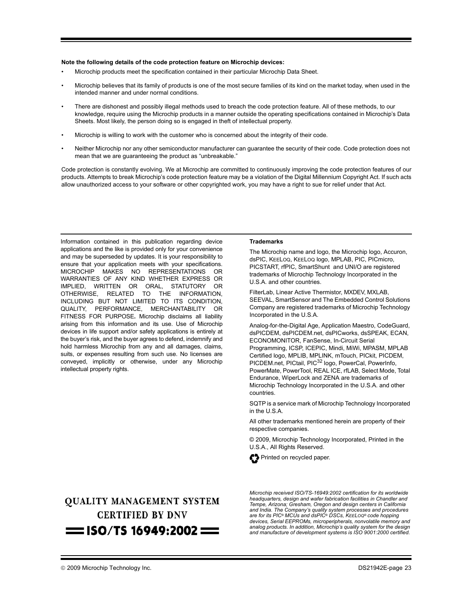#### **Note the following details of the code protection feature on Microchip devices:**

- Microchip products meet the specification contained in their particular Microchip Data Sheet.
- Microchip believes that its family of products is one of the most secure families of its kind on the market today, when used in the intended manner and under normal conditions.
- There are dishonest and possibly illegal methods used to breach the code protection feature. All of these methods, to our knowledge, require using the Microchip products in a manner outside the operating specifications contained in Microchip's Data Sheets. Most likely, the person doing so is engaged in theft of intellectual property.
- Microchip is willing to work with the customer who is concerned about the integrity of their code.
- Neither Microchip nor any other semiconductor manufacturer can guarantee the security of their code. Code protection does not mean that we are guaranteeing the product as "unbreakable."

Code protection is constantly evolving. We at Microchip are committed to continuously improving the code protection features of our products. Attempts to break Microchip's code protection feature may be a violation of the Digital Millennium Copyright Act. If such acts allow unauthorized access to your software or other copyrighted work, you may have a right to sue for relief under that Act.

Information contained in this publication regarding device applications and the like is provided only for your convenience and may be superseded by updates. It is your responsibility to ensure that your application meets with your specifications. MICROCHIP MAKES NO REPRESENTATIONS OR WARRANTIES OF ANY KIND WHETHER EXPRESS OR IMPLIED, WRITTEN OR ORAL, STATUTORY OR OTHERWISE, RELATED TO THE INFORMATION, INCLUDING BUT NOT LIMITED TO ITS CONDITION, QUALITY, PERFORMANCE, MERCHANTABILITY OR FITNESS FOR PURPOSE**.** Microchip disclaims all liability arising from this information and its use. Use of Microchip devices in life support and/or safety applications is entirely at the buyer's risk, and the buyer agrees to defend, indemnify and hold harmless Microchip from any and all damages, claims, suits, or expenses resulting from such use. No licenses are conveyed, implicitly or otherwise, under any Microchip intellectual property rights.

#### **Trademarks**

The Microchip name and logo, the Microchip logo, Accuron, dsPIC, KEELOQ, KEELOQ logo, MPLAB, PIC, PICmicro, PICSTART, rfPIC, SmartShunt and UNI/O are registered trademarks of Microchip Technology Incorporated in the U.S.A. and other countries.

FilterLab, Linear Active Thermistor, MXDEV, MXLAB, SEEVAL, SmartSensor and The Embedded Control Solutions Company are registered trademarks of Microchip Technology Incorporated in the U.S.A.

Analog-for-the-Digital Age, Application Maestro, CodeGuard, dsPICDEM, dsPICDEM.net, dsPICworks, dsSPEAK, ECAN, ECONOMONITOR, FanSense, In-Circuit Serial Programming, ICSP, ICEPIC, Mindi, MiWi, MPASM, MPLAB Certified logo, MPLIB, MPLINK, mTouch, PICkit, PICDEM, PICDEM.net, PICtail, PIC<sup>32</sup> logo, PowerCal, PowerInfo, PowerMate, PowerTool, REAL ICE, rfLAB, Select Mode, Total Endurance, WiperLock and ZENA are trademarks of Microchip Technology Incorporated in the U.S.A. and other countries.

SQTP is a service mark of Microchip Technology Incorporated in the U.S.A.

All other trademarks mentioned herein are property of their respective companies.

© 2009, Microchip Technology Incorporated, Printed in the U.S.A., All Rights Reserved.



## **OUALITY MANAGEMENT SYSTEM CERTIFIED BY DNV**  $=$  ISO/TS 16949:2002  $=$

*Microchip received ISO/TS-16949:2002 certification for its worldwide headquarters, design and wafer fabrication facilities in Chandler and Tempe, Arizona; Gresham, Oregon and design centers in California and India. The Company's quality system processes and procedures are for its PIC® MCUs and dsPIC® DSCs, KEELOQ® code hopping devices, Serial EEPROMs, microperipherals, nonvolatile memory and analog products. In addition, Microchip's quality system for the design and manufacture of development systems is ISO 9001:2000 certified.*